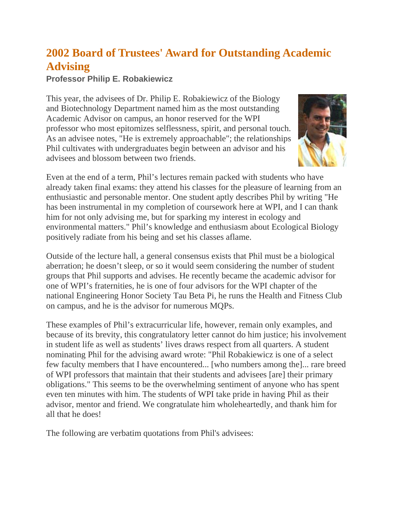## **2002 Board of Trustees' Award for Outstanding Academic Advising**

## **Professor Philip E. Robakiewicz**

This year, the advisees of Dr. Philip E. Robakiewicz of the Biology and Biotechnology Department named him as the most outstanding Academic Advisor on campus, an honor reserved for the WPI professor who most epitomizes selflessness, spirit, and personal touch. As an advisee notes, "He is extremely approachable"; the relationships Phil cultivates with undergraduates begin between an advisor and his advisees and blossom between two friends.



Even at the end of a term, Phil's lectures remain packed with students who have already taken final exams: they attend his classes for the pleasure of learning from an enthusiastic and personable mentor. One student aptly describes Phil by writing "He has been instrumental in my completion of coursework here at WPI, and I can thank him for not only advising me, but for sparking my interest in ecology and environmental matters." Phil's knowledge and enthusiasm about Ecological Biology positively radiate from his being and set his classes aflame.

Outside of the lecture hall, a general consensus exists that Phil must be a biological aberration; he doesn't sleep, or so it would seem considering the number of student groups that Phil supports and advises. He recently became the academic advisor for one of WPI's fraternities, he is one of four advisors for the WPI chapter of the national Engineering Honor Society Tau Beta Pi, he runs the Health and Fitness Club on campus, and he is the advisor for numerous MQPs.

These examples of Phil's extracurricular life, however, remain only examples, and because of its brevity, this congratulatory letter cannot do him justice; his involvement in student life as well as students' lives draws respect from all quarters. A student nominating Phil for the advising award wrote: "Phil Robakiewicz is one of a select few faculty members that I have encountered... [who numbers among the]... rare breed of WPI professors that maintain that their students and advisees [are] their primary obligations." This seems to be the overwhelming sentiment of anyone who has spent even ten minutes with him. The students of WPI take pride in having Phil as their advisor, mentor and friend. We congratulate him wholeheartedly, and thank him for all that he does!

The following are verbatim quotations from Phil's advisees: